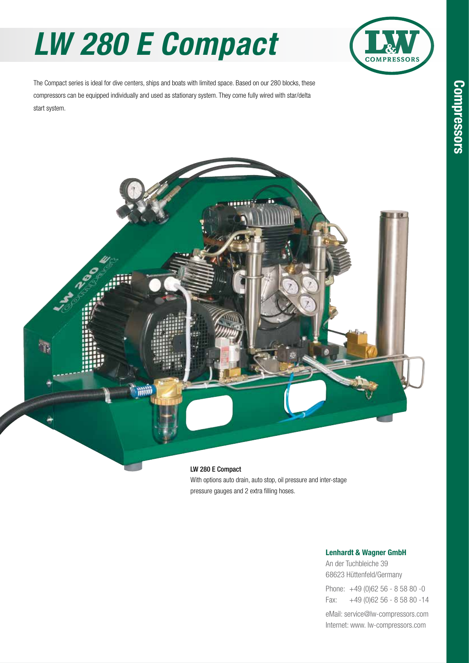# *LW 280 E Compact*



The Compact series is ideal for dive centers, ships and boats with limited space. Based on our 280 blocks, these compressors can be equipped individually and used as stationary system. They come fully wired with star/delta start system.



With options auto drain, auto stop, oil pressure and inter-stage pressure gauges and 2 extra filling hoses.

### Lenhardt & Wagner GmbH

An der Tuchbleiche 39 68623 Hüttenfeld / Germany Hüttenfeld/Germany

Phone: +49 (0)62 56 - 8 58 80 -0 Fax: +49 (0)62 56 - 8 58 80 -14 +49 (0)62 56 - 8 58 80 -14

eMail: service@lw-compressors.com Internet: www. lw-compressors.com